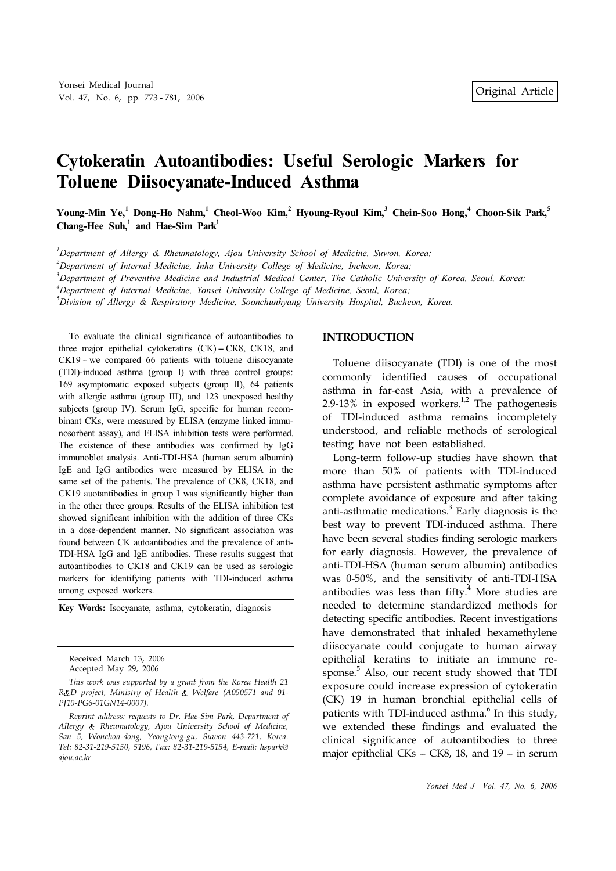# **Cytokeratin Autoantibodies: Useful Serologic Markers for Toluene Diisocyanate-Induced Asthma**

Young-Min Ye,<sup>1</sup> Dong-Ho Nahm,<sup>1</sup> Cheol-Woo Kim,<sup>2</sup> Hyoung-Ryoul Kim,<sup>3</sup> Chein-Soo Hong,<sup>4</sup> Choon-Sik Park,<sup>5</sup> **Chang-Hee Suh, 1 and Hae-Sim Park 1**

*<sup>1</sup>Department of Allergy & Rheumatology, Ajou University School of Medicine, Suwon, Korea;*

*<sup>2</sup>Department of Internal Medicine, Inha University College of Medicine, Incheon, Korea;*

<sup>3</sup>Department of Preventive Medicine and Industrial Medical Center, The Catholic University of Korea, Seoul, Korea;

*<sup>4</sup>Department of Internal Medicine, Yonsei University College of Medicine, Seoul, Korea;*

*<sup>5</sup>Division of Allergy & Respiratory Medicine, Soonchunhyang University Hospital, Bucheon, Korea.*

To evaluate the clinical significance of autoantibodies to three major epithelial cytokeratins  $(CK) - CK8$ ,  $CK18$ , and  $CK19$  – we compared 66 patients with toluene diisocyanate (TDI)-induced asthma (group I) with three control groups: 169 asymptomatic exposed subjects (group II), 64 patients with allergic asthma (group III), and 123 unexposed healthy subjects (group IV). Serum IgG, specific for human recombinant CKs, were measured by ELISA (enzyme linked immunosorbent assay), and ELISA inhibition tests were performed. The existence of these antibodies was confirmed by IgG immunoblot analysis. Anti-TDI-HSA (human serum albumin) IgE and IgG antibodies were measured by ELISA in the same set of the patients. The prevalence of CK8, CK18, and CK19 auotantibodies in group I was significantly higher than in the other three groups. Results of the ELISA inhibition test showed significant inhibition with the addition of three CKs in a dose-dependent manner. No significant association was found between CK autoantibodies and the prevalence of anti-TDI-HSA IgG and IgE antibodies. These results suggest that autoantibodies to CK18 and CK19 can be used as serologic markers for identifying patients with TDI-induced asthma among exposed workers.

**Key Words:** Isocyanate, asthma, cytokeratin, diagnosis

Received March 13, 2006 Accepted May 29, 2006

*This work was supported by a grant from the Korea Health 21 R D project, Ministry of Health Welfare (A050571 and 01- PJ10-PG6-01GN14-0007).*

*Reprint address: requests to Dr. Hae-Sim Park, Department of Allergy Rheumatology, Ajou University School of Medicine, San 5, Wonchon-dong, Yeongtong-gu, Suwon 443-721, Korea. Tel: 82-31-219-5150, 5196, Fax: 82-31-219-5154, E-mail: hspark@ ajou.ac.kr*

#### **INTRODUCTION**

Toluene diisocyanate (TDI) is one of the most commonly identified causes of occupational asthma in far-east Asia, with a prevalence of 2.9-13% in exposed workers.<sup>1,2</sup> The pathogenesis of TDI-induced asthma remains incompletely understood, and reliable methods of serological testing have not been established.

Long-term follow-up studies have shown that more than 50% of patients with TDI-induced asthma have persistent asthmatic symptoms after complete avoidance of exposure and after taking anti-asthmatic medications. 3 Early diagnosis is the best way to prevent TDI-induced asthma. There have been several studies finding serologic markers for early diagnosis. However, the prevalence of anti-TDI-HSA (human serum albumin) antibodies was 0-50%, and the sensitivity of anti-TDI-HSA antibodies was less than fifty. <sup>4</sup> More studies are needed to determine standardized methods for detecting specific antibodies. Recent investigations have demonstrated that inhaled hexamethylene diisocyanate could conjugate to human airway epithelial keratins to initiate an immune response. <sup>5</sup> Also, our recent study showed that TDI exposure could increase expression of cytokeratin (CK) 19 in human bronchial epithelial cells of patients with TDI-induced asthma.<sup>6</sup> In this study, we extended these findings and evaluated the clinical significance of autoantibodies to three major epithelial CKs  $-$  CK8, 18, and 19  $-$  in serum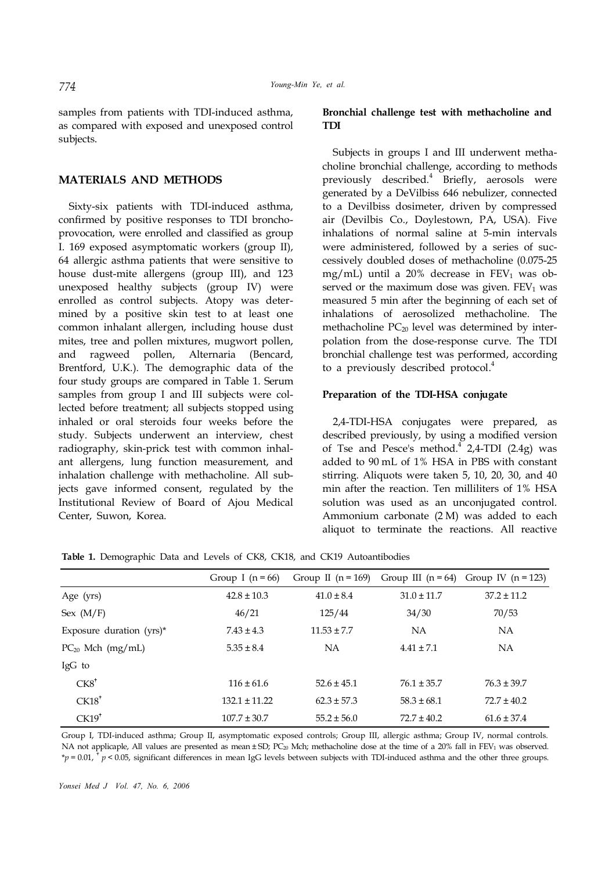samples from patients with TDI-induced asthma, as compared with exposed and unexposed control subjects.

## **MATERIALS AND METHODS**

Sixty-six patients with TDI-induced asthma, confirmed by positive responses to TDI bronchoprovocation, were enrolled and classified as group I. 169 exposed asymptomatic workers (group II), 64 allergic asthma patients that were sensitive to house dust-mite allergens (group III), and 123 unexposed healthy subjects (group IV) were enrolled as control subjects. Atopy was determined by a positive skin test to at least one common inhalant allergen, including house dust mites, tree and pollen mixtures, mugwort pollen, and ragweed pollen, Alternaria (Bencard, Brentford, U.K.). The demographic data of the four study groups are compared in Table 1. Serum samples from group I and III subjects were collected before treatment; all subjects stopped using inhaled or oral steroids four weeks before the study. Subjects underwent an interview, chest radiography, skin-prick test with common inhalant allergens, lung function measurement, and inhalation challenge with methacholine. All subjects gave informed consent, regulated by the Institutional Review of Board of Ajou Medical Center, Suwon, Korea.

# **Bronchial challenge test with methacholine and TDI**

Subjects in groups I and III underwent methacholine bronchial challenge, according to methods previously described. 4 Briefly, aerosols were generated by a DeVilbiss 646 nebulizer, connected to a Devilbiss dosimeter, driven by compressed air (Devilbis Co., Doylestown, PA, USA). Five inhalations of normal saline at 5-min intervals were administered, followed by a series of successively doubled doses of methacholine (0.075-25 mg/mL) until a 20% decrease in  $FEV<sub>1</sub>$  was observed or the maximum dose was given.  $FEV<sub>1</sub>$  was measured 5 min after the beginning of each set of inhalations of aerosolized methacholine. The methacholine  $PC_{20}$  level was determined by interpolation from the dose-response curve. The TDI bronchial challenge test was performed, according to a previously described protocol. 4

## **Preparation of the TDI-HSA conjugate**

2,4-TDI-HSA conjugates were prepared, as described previously, by using a modified version of Tse and Pesce's method.<sup>4</sup> 2,4-TDI (2.4g) was added to 90 mL of 1% HSA in PBS with constant stirring. Aliquots were taken 5, 10, 20, 30, and 40 min after the reaction. Ten milliliters of 1% HSA solution was used as an unconjugated control. Ammonium carbonate (2 M) was added to each aliquot to terminate the reactions. All reactive

|                             | Group I $(n = 66)$ | Group II $(n = 169)$ | Group III $(n = 64)$ | Group IV $(n = 123)$ |
|-----------------------------|--------------------|----------------------|----------------------|----------------------|
| Age (yrs)                   | $42.8 \pm 10.3$    | $41.0 \pm 8.4$       | $31.0 \pm 11.7$      | $37.2 \pm 11.2$      |
| Sex $(M/F)$                 | 46/21              | 125/44               | 34/30                | 70/53                |
| Exposure duration $(yrs)^*$ | $7.43 \pm 4.3$     | $11.53 \pm 7.7$      | <b>NA</b>            | <b>NA</b>            |
| $PC_{20}$ Mch (mg/mL)       | $5.35 \pm 8.4$     | <b>NA</b>            | $4.41 \pm 7.1$       | <b>NA</b>            |
| IgG to                      |                    |                      |                      |                      |
| $CK8^{\dagger}$             | $116 \pm 61.6$     | $52.6 \pm 45.1$      | $76.1 \pm 35.7$      | $76.3 \pm 39.7$      |
| CK18 <sup>†</sup>           | $132.1 \pm 11.22$  | $62.3 \pm 57.3$      | $58.3 \pm 68.1$      | $72.7 \pm 40.2$      |
| CK19 <sup>†</sup>           | $107.7 \pm 30.7$   | $55.2 \pm 56.0$      | $72.7 \pm 40.2$      | $61.6 \pm 37.4$      |

**Table 1.** Demographic Data and Levels of CK8, CK18, and CK19 Autoantibodies

Group I, TDI-induced asthma; Group II, asymptomatic exposed controls; Group III, allergic asthma; Group IV, normal controls. NA not applicaple, All values are presented as mean  $\pm$  SD; PC<sub>20</sub> Mch; methacholine dose at the time of a 20% fall in FEV<sub>1</sub> was observed.  $*_p$  = 0.01,  $*_p$  < 0.05, significant differences in mean IgG levels between subjects with TDI-induced asthma and the other three groups.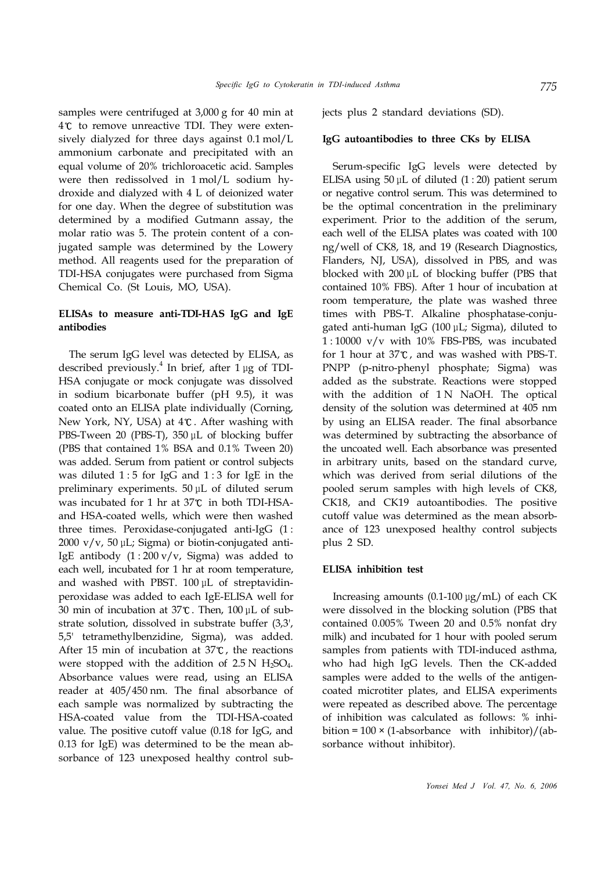samples were centrifuged at 3,000 g for 40 min at  $4^\circ$  to remove unreactive TDI. They were extensively dialyzed for three days against 0.1 mol/L ammonium carbonate and precipitated with an equal volume of 20% trichloroacetic acid. Samples were then redissolved in 1 mol/L sodium hydroxide and dialyzed with 4 L of deionized water for one day. When the degree of substitution was determined by a modified Gutmann assay, the molar ratio was 5. The protein content of a conjugated sample was determined by the Lowery method. All reagents used for the preparation of TDI-HSA conjugates were purchased from Sigma Chemical Co. (St Louis, MO, USA).

# **ELISAs to measure anti-TDI-HAS IgG and IgE antibodies**

The serum IgG level was detected by ELISA, as described previously. 4 In brief, after 1 μg of TDI-HSA conjugate or mock conjugate was dissolved in sodium bicarbonate buffer (pH 9.5), it was coated onto an ELISA plate individually (Corning, New York, NY, USA) at  $4^{\circ}$ . After washing with PBS-Tween 20 (PBS-T), 350 μL of blocking buffer (PBS that contained 1% BSA and 0.1% Tween 20) was added. Serum from patient or control subjects was diluted  $1:5$  for IgG and  $1:3$  for IgE in the preliminary experiments. 50 μL of diluted serum was incubated for 1 hr at  $37^{\circ}$  in both TDI-HSAand HSA-coated wells, which were then washed three times. Peroxidase-conjugated anti-IgG (1 : 2000 v/v, 50 μL; Sigma) or biotin-conjugated anti-IgE antibody  $(1:200 \text{ v/v}$ , Sigma) was added to each well, incubated for 1 hr at room temperature, and washed with PBST. 100 μL of streptavidinperoxidase was added to each IgE-ELISA well for 30 min of incubation at  $37^{\circ}$ C. Then,  $100 \mu$ L of substrate solution, dissolved in substrate buffer (3,3', 5,5' tetramethylbenzidine, Sigma), was added. After 15 min of incubation at  $37^{\circ}$ , the reactions were stopped with the addition of  $2.5 N H_2SO_4$ . Absorbance values were read, using an ELISA reader at 405/450 nm. The final absorbance of each sample was normalized by subtracting the HSA-coated value from the TDI-HSA-coated value. The positive cutoff value (0.18 for IgG, and 0.13 for IgE) was determined to be the mean absorbance of 123 unexposed healthy control subjects plus 2 standard deviations (SD).

## **IgG autoantibodies to three CKs by ELISA**

Serum-specific IgG levels were detected by ELISA using  $50 \mu$ L of diluted  $(1:20)$  patient serum or negative control serum. This was determined to be the optimal concentration in the preliminary experiment. Prior to the addition of the serum, each well of the ELISA plates was coated with 100 ng/well of CK8, 18, and 19 (Research Diagnostics, Flanders, NJ, USA), dissolved in PBS, and was blocked with 200 μL of blocking buffer (PBS that contained 10% FBS). After 1 hour of incubation at room temperature, the plate was washed three times with PBS-T. Alkaline phosphatase-conjugated anti-human IgG (100 μL; Sigma), diluted to 1 : 10000 v/v with 10% FBS-PBS, was incubated for 1 hour at  $37^\circ$ , and was washed with PBS-T. PNPP (p-nitro-phenyl phosphate; Sigma) was added as the substrate. Reactions were stopped with the addition of 1N NaOH. The optical density of the solution was determined at 405 nm by using an ELISA reader. The final absorbance was determined by subtracting the absorbance of the uncoated well. Each absorbance was presented in arbitrary units, based on the standard curve, which was derived from serial dilutions of the pooled serum samples with high levels of CK8, CK18, and CK19 autoantibodies. The positive cutoff value was determined as the mean absorbance of 123 unexposed healthy control subjects plus 2 SD.

## **ELISA inhibition test**

Increasing amounts (0.1-100 μg/mL) of each CK were dissolved in the blocking solution (PBS that contained 0.005% Tween 20 and 0.5% nonfat dry milk) and incubated for 1 hour with pooled serum samples from patients with TDI-induced asthma, who had high IgG levels. Then the CK-added samples were added to the wells of the antigencoated microtiter plates, and ELISA experiments were repeated as described above. The percentage of inhibition was calculated as follows: % inhibition =  $100 \times (1-\text{absorbane with } \text{inhibitor})/(ab$ sorbance without inhibitor).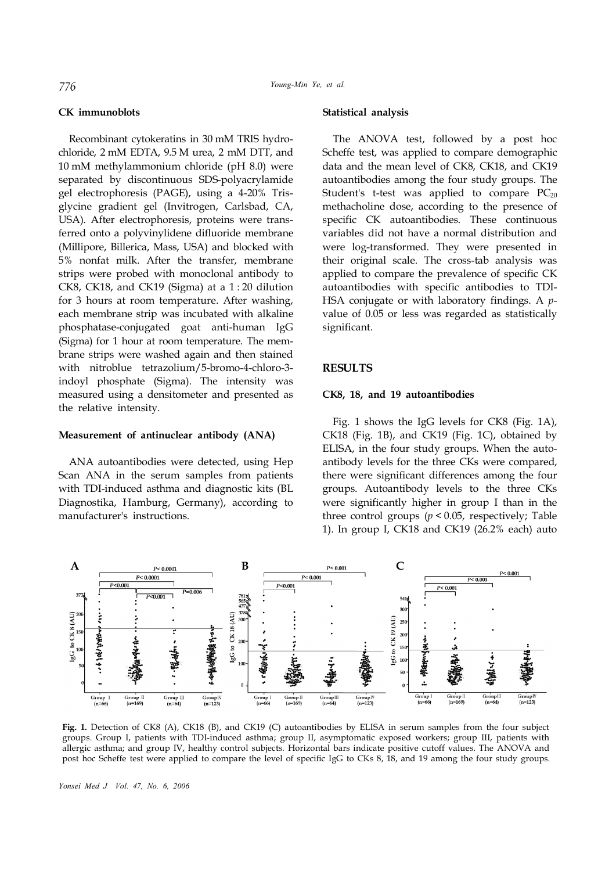## **CK immunoblots**

Recombinant cytokeratins in 30 mM TRIS hydrochloride, 2 mM EDTA, 9.5 M urea, 2 mM DTT, and 10 mM methylammonium chloride (pH 8.0) were separated by discontinuous SDS-polyacrylamide gel electrophoresis (PAGE), using a 4-20% Trisglycine gradient gel (Invitrogen, Carlsbad, CA, USA). After electrophoresis, proteins were transferred onto a polyvinylidene difluoride membrane (Millipore, Billerica, Mass, USA) and blocked with 5% nonfat milk. After the transfer, membrane strips were probed with monoclonal antibody to CK8, CK18, and CK19 (Sigma) at a 1 : 20 dilution for 3 hours at room temperature. After washing, each membrane strip was incubated with alkaline phosphatase-conjugated goat anti-human IgG (Sigma) for 1 hour at room temperature. The membrane strips were washed again and then stained with nitroblue tetrazolium/5-bromo-4-chloro-3 indoyl phosphate (Sigma). The intensity was measured using a densitometer and presented as the relative intensity.

# **Measurement of antinuclear antibody (ANA)**

ANA autoantibodies were detected, using Hep Scan ANA in the serum samples from patients with TDI-induced asthma and diagnostic kits (BL Diagnostika, Hamburg, Germany), according to manufacturer's instructions.

#### **Statistical analysis**

The ANOVA test, followed by a post hoc Scheffe test, was applied to compare demographic data and the mean level of CK8, CK18, and CK19 autoantibodies among the four study groups. The Student's t-test was applied to compare  $PC_{20}$ methacholine dose, according to the presence of specific CK autoantibodies. These continuous variables did not have a normal distribution and were log-transformed. They were presented in their original scale. The cross-tab analysis was applied to compare the prevalence of specific CK autoantibodies with specific antibodies to TDI-HSA conjugate or with laboratory findings. A *p*value of 0.05 or less was regarded as statistically significant.

# **RESULTS**

#### **CK8, 18, and 19 autoantibodies**

Fig. 1 shows the IgG levels for CK8 (Fig. 1A), CK18 (Fig. 1B), and CK19 (Fig. 1C), obtained by ELISA, in the four study groups. When the autoantibody levels for the three CKs were compared, there were significant differences among the four groups. Autoantibody levels to the three CKs were significantly higher in group I than in the three control groups  $(p < 0.05$ , respectively; Table 1). In group I, CK18 and CK19 (26.2% each) auto



**Fig. 1.** Detection of CK8 (A), CK18 (B), and CK19 (C) autoantibodies by ELISA in serum samples from the four subject groups. Group I, patients with TDI-induced asthma; group II, asymptomatic exposed workers; group III, patients with allergic asthma; and group IV, healthy control subjects. Horizontal bars indicate positive cutoff values. The ANOVA and post hoc Scheffe test were applied to compare the level of specific IgG to CKs 8, 18, and 19 among the four study groups.

*Yonsei Med J Vol. 47, No. 6, 2006*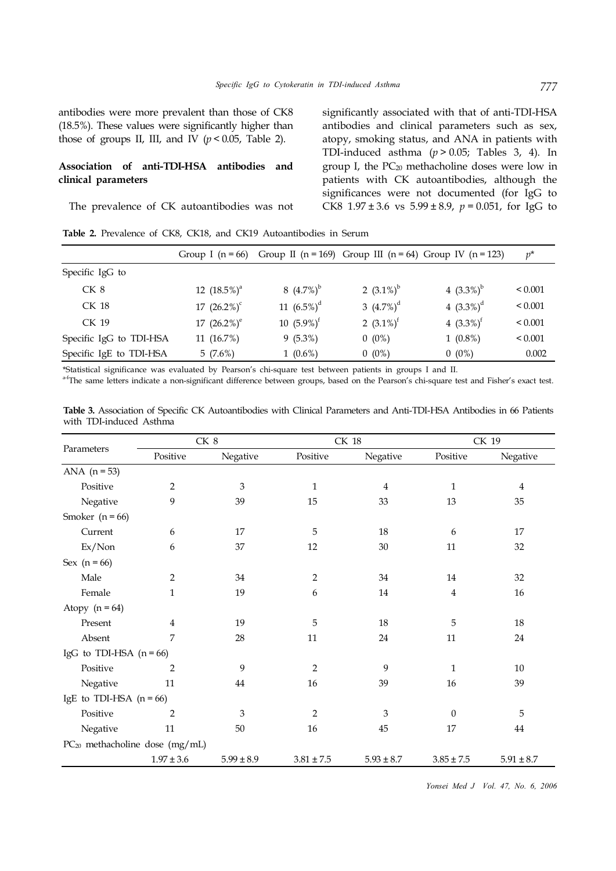antibodies were more prevalent than those of CK8 (18.5%). These values were significantly higher than those of groups II, III, and IV  $(p < 0.05$ , Table 2).

# **Association of anti-TDI-HSA antibodies and clinical parameters**

The prevalence of CK autoantibodies was not

significantly associated with that of anti-TDI-HSA antibodies and clinical parameters such as sex, atopy, smoking status, and ANA in patients with TDI-induced asthma (*p* > 0.05; Tables 3, 4). In group I, the  $PC_{20}$  methacholine doses were low in patients with CK autoantibodies, although the significances were not documented (for IgG to CK8  $1.97 \pm 3.6$  vs  $5.99 \pm 8.9$ ,  $p = 0.051$ , for IgG to

**Table 2.** Prevalence of CK8, CK18, and CK19 Autoantibodies in Serum

|                         | Group I ( $n = 66$ ) |                |               | Group II ( $n = 169$ ) Group III ( $n = 64$ ) Group IV ( $n = 123$ ) | $p^*$        |
|-------------------------|----------------------|----------------|---------------|----------------------------------------------------------------------|--------------|
| Specific IgG to         |                      |                |               |                                                                      |              |
| CK <sub>8</sub>         | 12 $(18.5\%)^a$      | 8 $(4.7\%)^b$  | 2 $(3.1\%)^b$ | 4 $(3.3\%)^b$                                                        | ${}_{0.001}$ |
| CK 18                   | 17 $(26.2\%)^c$      | 11 $(6.5\%)^d$ | 3 $(4.7\%)^d$ | 4 $(3.3\%)^d$                                                        | ${}_{0.001}$ |
| CK 19                   | 17 $(26.2\%)^e$      | 10 $(5.9\%)^f$ | 2 $(3.1\%)^t$ | 4 $(3.3\%)^t$                                                        | ${}_{0.001}$ |
| Specific IgG to TDI-HSA | 11 $(16.7%)$         | $9(5.3\%)$     | $0(0\%)$      | $1(0.8\%)$                                                           | ${}_{0.001}$ |
| Specific IgE to TDI-HSA | 5(7.6%)              | $1(0.6\%)$     | $0(0\%)$      | $0(0\%)$                                                             | 0.002        |

\*Statistical significance was evaluated by Pearson's chi-square test between patients in groups I and II.

<sup>a-f</sup>The same letters indicate a non-significant difference between groups, based on the Pearson's chi-square test and Fisher's exact test.

**Table 3.** Association of Specific CK Autoantibodies with Clinical Parameters and Anti-TDI-HSA Antibodies in 66 Patients with TDI-induced Asthma

|                                     |                | CK 8           |                | <b>CK 18</b>   | CK 19          |                |  |
|-------------------------------------|----------------|----------------|----------------|----------------|----------------|----------------|--|
| Parameters                          | Positive       | Negative       | Positive       | Negative       | Positive       | Negative       |  |
| ANA $(n = 53)$                      |                |                |                |                |                |                |  |
| Positive                            | $\overline{2}$ | $\mathfrak{B}$ | $\mathbf{1}$   | 4              | 1              | 4              |  |
| Negative                            | 9              | 39             | $15\,$         | 33             | 13             | 35             |  |
| Smoker $(n = 66)$                   |                |                |                |                |                |                |  |
| Current                             | 6              | 17             | 5              | $18\,$         | 6              | 17             |  |
| $Ex/N$ on                           | 6              | 37             | 12             | 30             | 11             | 32             |  |
| Sex $(n = 66)$                      |                |                |                |                |                |                |  |
| Male                                | 2              | 34             | $\overline{2}$ | 34             | 14             | 32             |  |
| Female                              | $\mathbf{1}$   | 19             | 6              | 14             | $\overline{4}$ | 16             |  |
| Atopy $(n = 64)$                    |                |                |                |                |                |                |  |
| Present                             | 4              | 19             | 5              | 18             | 5              | 18             |  |
| Absent                              | 7              | 28             | 11             | 24             | 11             | 24             |  |
| IgG to TDI-HSA $(n = 66)$           |                |                |                |                |                |                |  |
| Positive                            | $\overline{2}$ | 9              | $\overline{2}$ | 9              | $\mathbf{1}$   | 10             |  |
| Negative                            | 11             | 44             | 16             | 39             | 16             | 39             |  |
| IgE to TDI-HSA $(n = 66)$           |                |                |                |                |                |                |  |
| Positive                            | $\overline{2}$ | 3              | $\overline{2}$ | 3              | $\Omega$       | 5              |  |
| Negative                            | 11             | 50             | 16             | 45             | 17             | 44             |  |
| $PC_{20}$ methacholine dose (mg/mL) |                |                |                |                |                |                |  |
|                                     | $1.97 \pm 3.6$ | $5.99 \pm 8.9$ | $3.81 \pm 7.5$ | $5.93 \pm 8.7$ | $3.85 \pm 7.5$ | $5.91 \pm 8.7$ |  |

*Yonsei Med J Vol. 47, No. 6, 2006*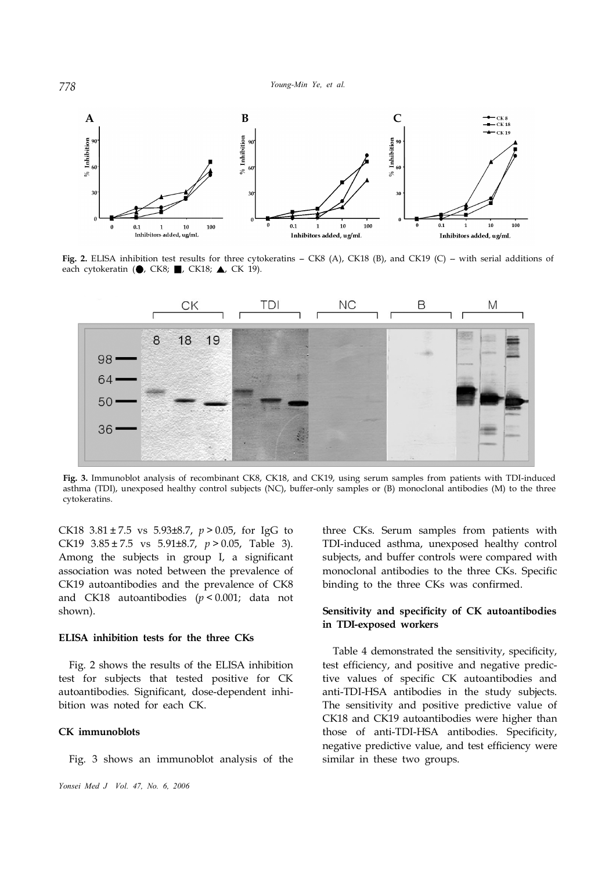

Fig. 2. ELISA inhibition test results for three cytokeratins - CK8 (A), CK18 (B), and CK19 (C) - with serial additions of each cytokeratin ( $\bigcirc$ , CK8; , CK18;  $\bigtriangleup$ , CK 19).



**Fig. 3.** Immunoblot analysis of recombinant CK8, CK18, and CK19, using serum samples from patients with TDI-induced asthma (TDI), unexposed healthy control subjects (NC), buffer-only samples or (B) monoclonal antibodies (M) to the three cytokeratins.

CK18 3.81 ± 7.5 vs 5.93±8.7, *p* > 0.05, for IgG to CK19 3.85 ± 7.5 vs 5.91±8.7, *p* > 0.05, Table 3). Among the subjects in group I, a significant association was noted between the prevalence of CK19 autoantibodies and the prevalence of CK8 and CK18 autoantibodies (*p* < 0.001; data not shown).

## **ELISA inhibition tests for the three CKs**

Fig. 2 shows the results of the ELISA inhibition test for subjects that tested positive for CK autoantibodies. Significant, dose-dependent inhibition was noted for each CK.

## **CK immunoblots**

Fig. 3 shows an immunoblot analysis of the

three CKs. Serum samples from patients with TDI-induced asthma, unexposed healthy control subjects, and buffer controls were compared with monoclonal antibodies to the three CKs. Specific binding to the three CKs was confirmed.

# **Sensitivity and specificity of CK autoantibodies in TDI-exposed workers**

Table 4 demonstrated the sensitivity, specificity, test efficiency, and positive and negative predictive values of specific CK autoantibodies and anti-TDI-HSA antibodies in the study subjects. The sensitivity and positive predictive value of CK18 and CK19 autoantibodies were higher than those of anti-TDI-HSA antibodies. Specificity, negative predictive value, and test efficiency were similar in these two groups.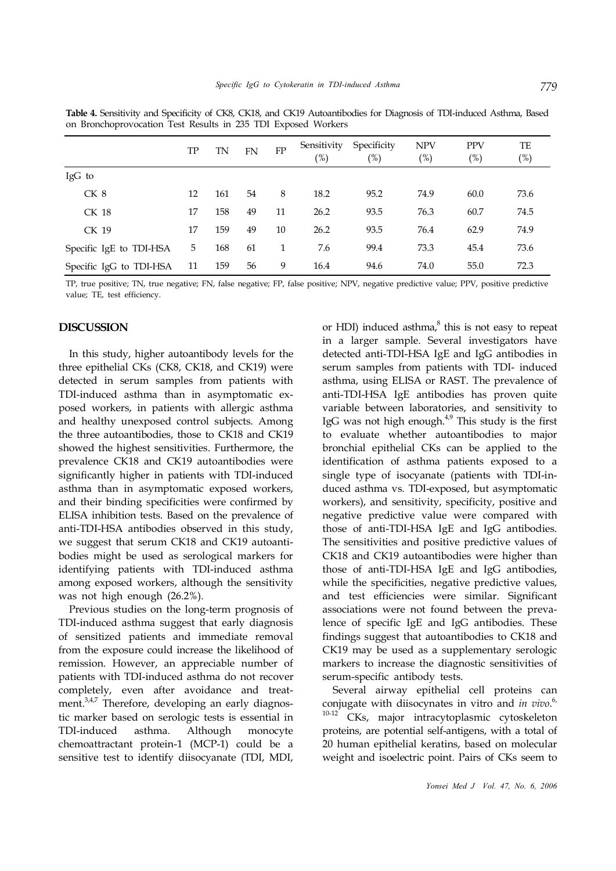|                         | TP | TN  | <b>FN</b> | FP | Sensitivity<br>$(\%)$ | Specificity<br>$(\%)$ | <b>NPV</b><br>(%) | <b>PPV</b><br>(%) | TE<br>(%) |
|-------------------------|----|-----|-----------|----|-----------------------|-----------------------|-------------------|-------------------|-----------|
| IgG to                  |    |     |           |    |                       |                       |                   |                   |           |
| CK 8                    | 12 | 161 | 54        | 8  | 18.2                  | 95.2                  | 74.9              | 60.0              | 73.6      |
| CK 18                   | 17 | 158 | 49        | 11 | 26.2                  | 93.5                  | 76.3              | 60.7              | 74.5      |
| CK 19                   | 17 | 159 | 49        | 10 | 26.2                  | 93.5                  | 76.4              | 62.9              | 74.9      |
| Specific IgE to TDI-HSA | 5  | 168 | 61        | 1  | 7.6                   | 99.4                  | 73.3              | 45.4              | 73.6      |
| Specific IgG to TDI-HSA | 11 | 159 | 56        | 9  | 16.4                  | 94.6                  | 74.0              | 55.0              | 72.3      |

**Table 4.** Sensitivity and Specificity of CK8, CK18, and CK19 Autoantibodies for Diagnosis of TDI-induced Asthma, Based on Bronchoprovocation Test Results in 235 TDI Exposed Workers

TP, true positive; TN, true negative; FN, false negative; FP, false positive; NPV, negative predictive value; PPV, positive predictive value; TE, test efficiency.

## **DISCUSSION**

In this study, higher autoantibody levels for the three epithelial CKs (CK8, CK18, and CK19) were detected in serum samples from patients with TDI-induced asthma than in asymptomatic exposed workers, in patients with allergic asthma and healthy unexposed control subjects. Among the three autoantibodies, those to CK18 and CK19 showed the highest sensitivities. Furthermore, the prevalence CK18 and CK19 autoantibodies were significantly higher in patients with TDI-induced asthma than in asymptomatic exposed workers, and their binding specificities were confirmed by ELISA inhibition tests. Based on the prevalence of anti-TDI-HSA antibodies observed in this study, we suggest that serum CK18 and CK19 autoantibodies might be used as serological markers for identifying patients with TDI-induced asthma among exposed workers, although the sensitivity was not high enough (26.2%).

Previous studies on the long-term prognosis of TDI-induced asthma suggest that early diagnosis of sensitized patients and immediate removal from the exposure could increase the likelihood of remission. However, an appreciable number of patients with TDI-induced asthma do not recover completely, even after avoidance and treatment.<sup>3,4,7</sup> Therefore, developing an early diagnostic marker based on serologic tests is essential in TDI-induced asthma. Although monocyte chemoattractant protein-1 (MCP-1) could be a sensitive test to identify diisocyanate (TDI, MDI,

or HDI) induced asthma,<sup>8</sup> this is not easy to repeat in a larger sample. Several investigators have detected anti-TDI-HSA IgE and IgG antibodies in serum samples from patients with TDI- induced asthma, using ELISA or RAST. The prevalence of anti-TDI-HSA IgE antibodies has proven quite variable between laboratories, and sensitivity to IgG was not high enough.<sup>4,9</sup> This study is the first to evaluate whether autoantibodies to major bronchial epithelial CKs can be applied to the identification of asthma patients exposed to a single type of isocyanate (patients with TDI-induced asthma vs. TDI-exposed, but asymptomatic workers), and sensitivity, specificity, positive and negative predictive value were compared with those of anti-TDI-HSA IgE and IgG antibodies. The sensitivities and positive predictive values of CK18 and CK19 autoantibodies were higher than those of anti-TDI-HSA IgE and IgG antibodies, while the specificities, negative predictive values, and test efficiencies were similar. Significant associations were not found between the prevalence of specific IgE and IgG antibodies. These findings suggest that autoantibodies to CK18 and CK19 may be used as a supplementary serologic markers to increase the diagnostic sensitivities of serum-specific antibody tests.

Several airway epithelial cell proteins can conjugate with diisocynates in vitro and *in vivo*. 6, CKs, major intracytoplasmic cytoskeleton proteins, are potential self-antigens, with a total of 20 human epithelial keratins, based on molecular weight and isoelectric point. Pairs of CKs seem to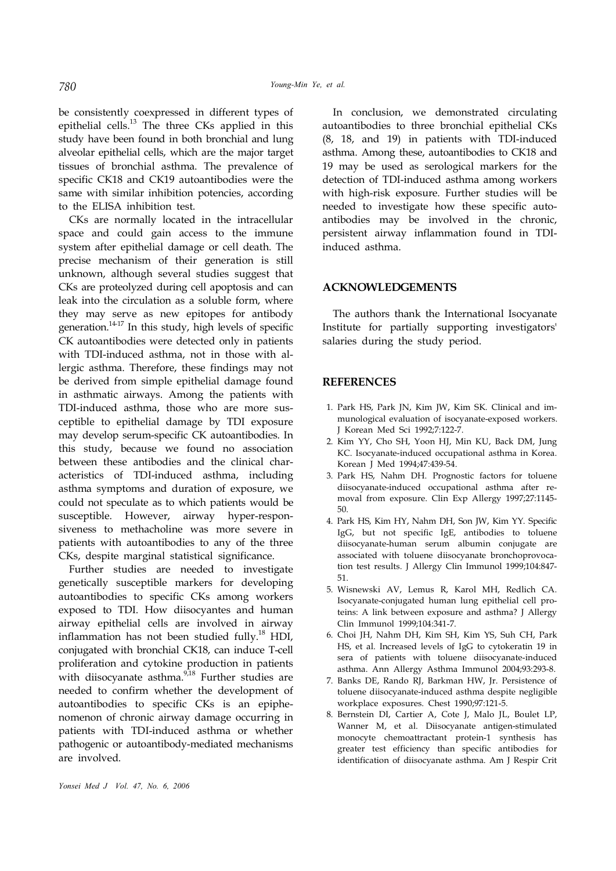be consistently coexpressed in different types of epithelial cells.<sup>13</sup> The three CKs applied in this study have been found in both bronchial and lung alveolar epithelial cells, which are the major target tissues of bronchial asthma. The prevalence of specific CK18 and CK19 autoantibodies were the same with similar inhibition potencies, according to the ELISA inhibition test.

CKs are normally located in the intracellular space and could gain access to the immune system after epithelial damage or cell death. The precise mechanism of their generation is still unknown, although several studies suggest that CKs are proteolyzed during cell apoptosis and can leak into the circulation as a soluble form, where they may serve as new epitopes for antibody generation.<sup>14-17</sup> In this study, high levels of specific CK autoantibodies were detected only in patients with TDI-induced asthma, not in those with allergic asthma. Therefore, these findings may not be derived from simple epithelial damage found in asthmatic airways. Among the patients with TDI-induced asthma, those who are more susceptible to epithelial damage by TDI exposure may develop serum-specific CK autoantibodies. In this study, because we found no association between these antibodies and the clinical characteristics of TDI-induced asthma, including asthma symptoms and duration of exposure, we could not speculate as to which patients would be susceptible. However, airway hyper-responsiveness to methacholine was more severe in patients with autoantibodies to any of the three CKs, despite marginal statistical significance.

Further studies are needed to investigate genetically susceptible markers for developing autoantibodies to specific CKs among workers exposed to TDI. How diisocyantes and human airway epithelial cells are involved in airway inflammation has not been studied fully.<sup>18</sup> HDI, conjugated with bronchial CK18, can induce T-cell proliferation and cytokine production in patients with diisocyanate asthma.<sup>9,18</sup> Further studies are needed to confirm whether the development of autoantibodies to specific CKs is an epiphenomenon of chronic airway damage occurring in patients with TDI-induced asthma or whether pathogenic or autoantibody-mediated mechanisms are involved.

In conclusion, we demonstrated circulating autoantibodies to three bronchial epithelial CKs (8, 18, and 19) in patients with TDI-induced asthma. Among these, autoantibodies to CK18 and 19 may be used as serological markers for the detection of TDI-induced asthma among workers with high-risk exposure. Further studies will be needed to investigate how these specific autoantibodies may be involved in the chronic, persistent airway inflammation found in TDIinduced asthma.

# **ACKNOWLEDGEMENTS**

The authors thank the International Isocyanate Institute for partially supporting investigators' salaries during the study period.

# **REFERENCES**

- 1. Park HS, Park JN, Kim JW, Kim SK. Clinical and immunological evaluation of isocyanate-exposed workers. J Korean Med Sci 1992;7:122-7.
- 2. Kim YY, Cho SH, Yoon HJ, Min KU, Back DM, Jung KC. Isocyanate-induced occupational asthma in Korea. Korean J Med 1994;47:439-54.
- 3. Park HS, Nahm DH. Prognostic factors for toluene diisocyanate-induced occupational asthma after removal from exposure. Clin Exp Allergy 1997;27:1145- 50.
- 4. Park HS, Kim HY, Nahm DH, Son JW, Kim YY. Specific IgG, but not specific IgE, antibodies to toluene diisocyanate-human serum albumin conjugate are associated with toluene diisocyanate bronchoprovocation test results. J Allergy Clin Immunol 1999;104:847- 51.
- 5. Wisnewski AV, Lemus R, Karol MH, Redlich CA. Isocyanate-conjugated human lung epithelial cell proteins: A link between exposure and asthma? J Allergy Clin Immunol 1999;104:341-7.
- 6. Choi JH, Nahm DH, Kim SH, Kim YS, Suh CH, Park HS, et al. Increased levels of IgG to cytokeratin 19 in sera of patients with toluene diisocyanate-induced asthma. Ann Allergy Asthma Immunol 2004;93:293-8.
- 7. Banks DE, Rando RJ, Barkman HW, Jr. Persistence of toluene diisocyanate-induced asthma despite negligible workplace exposures. Chest 1990;97:121-5.
- 8. Bernstein DI, Cartier A, Cote J, Malo JL, Boulet LP, Wanner M, et al. Diisocyanate antigen-stimulated monocyte chemoattractant protein-1 synthesis has greater test efficiency than specific antibodies for identification of diisocyanate asthma. Am J Respir Crit